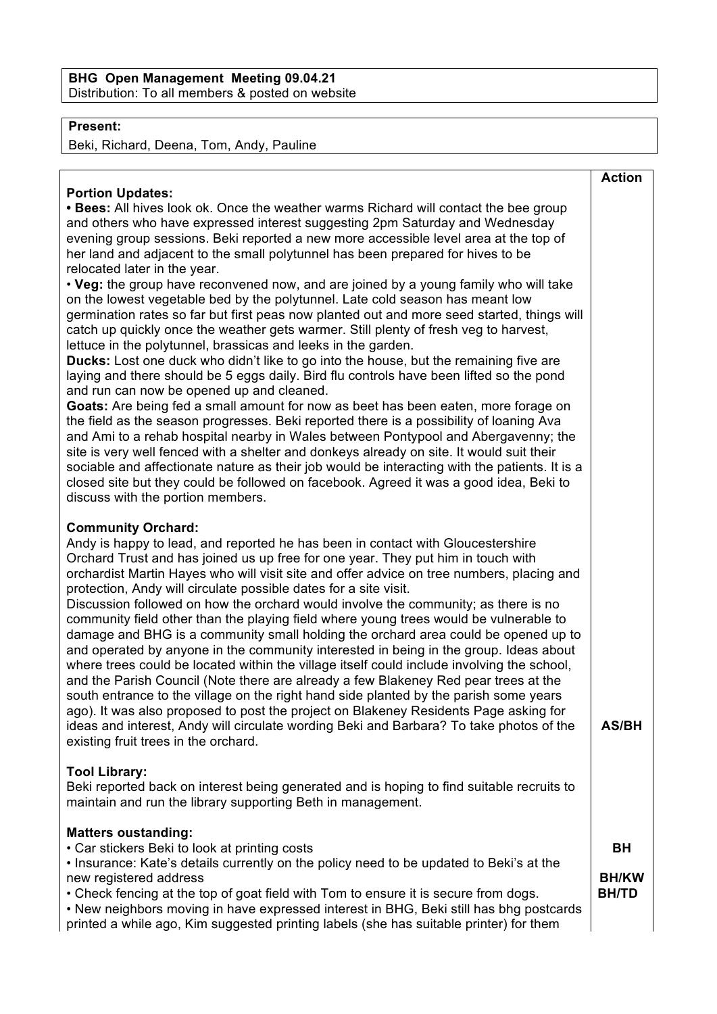## **BHG Open Management Meeting 09.04.21** Distribution: To all members & posted on website

## **Present:**

Beki, Richard, Deena, Tom, Andy, Pauline

| <b>Portion Updates:</b>                                                                                                                                                                                                                                                                                                                                                                                                                                                                                                                                                                                                                                                                                                                                                                                                                                                                                                                                                                                                                                                                                                                                                                                                                                                                                                                                                                                                                                                                                                                                                                                                                                    | <b>Action</b>                             |
|------------------------------------------------------------------------------------------------------------------------------------------------------------------------------------------------------------------------------------------------------------------------------------------------------------------------------------------------------------------------------------------------------------------------------------------------------------------------------------------------------------------------------------------------------------------------------------------------------------------------------------------------------------------------------------------------------------------------------------------------------------------------------------------------------------------------------------------------------------------------------------------------------------------------------------------------------------------------------------------------------------------------------------------------------------------------------------------------------------------------------------------------------------------------------------------------------------------------------------------------------------------------------------------------------------------------------------------------------------------------------------------------------------------------------------------------------------------------------------------------------------------------------------------------------------------------------------------------------------------------------------------------------------|-------------------------------------------|
| • Bees: All hives look ok. Once the weather warms Richard will contact the bee group<br>and others who have expressed interest suggesting 2pm Saturday and Wednesday<br>evening group sessions. Beki reported a new more accessible level area at the top of<br>her land and adjacent to the small polytunnel has been prepared for hives to be<br>relocated later in the year.<br>. Veg: the group have reconvened now, and are joined by a young family who will take<br>on the lowest vegetable bed by the polytunnel. Late cold season has meant low<br>germination rates so far but first peas now planted out and more seed started, things will<br>catch up quickly once the weather gets warmer. Still plenty of fresh veg to harvest,<br>lettuce in the polytunnel, brassicas and leeks in the garden.<br><b>Ducks:</b> Lost one duck who didn't like to go into the house, but the remaining five are<br>laying and there should be 5 eggs daily. Bird flu controls have been lifted so the pond<br>and run can now be opened up and cleaned.<br>Goats: Are being fed a small amount for now as beet has been eaten, more forage on<br>the field as the season progresses. Beki reported there is a possibility of loaning Ava<br>and Ami to a rehab hospital nearby in Wales between Pontypool and Abergavenny; the<br>site is very well fenced with a shelter and donkeys already on site. It would suit their<br>sociable and affectionate nature as their job would be interacting with the patients. It is a<br>closed site but they could be followed on facebook. Agreed it was a good idea, Beki to<br>discuss with the portion members. |                                           |
| <b>Community Orchard:</b><br>Andy is happy to lead, and reported he has been in contact with Gloucestershire<br>Orchard Trust and has joined us up free for one year. They put him in touch with<br>orchardist Martin Hayes who will visit site and offer advice on tree numbers, placing and<br>protection, Andy will circulate possible dates for a site visit.<br>Discussion followed on how the orchard would involve the community; as there is no<br>community field other than the playing field where young trees would be vulnerable to<br>damage and BHG is a community small holding the orchard area could be opened up to<br>and operated by anyone in the community interested in being in the group. Ideas about<br>where trees could be located within the village itself could include involving the school,<br>and the Parish Council (Note there are already a few Blakeney Red pear trees at the<br>south entrance to the village on the right hand side planted by the parish some years<br>ago). It was also proposed to post the project on Blakeney Residents Page asking for<br>ideas and interest, Andy will circulate wording Beki and Barbara? To take photos of the<br>existing fruit trees in the orchard.                                                                                                                                                                                                                                                                                                                                                                                                                   | <b>AS/BH</b>                              |
| <b>Tool Library:</b><br>Beki reported back on interest being generated and is hoping to find suitable recruits to<br>maintain and run the library supporting Beth in management.                                                                                                                                                                                                                                                                                                                                                                                                                                                                                                                                                                                                                                                                                                                                                                                                                                                                                                                                                                                                                                                                                                                                                                                                                                                                                                                                                                                                                                                                           |                                           |
| <b>Matters oustanding:</b><br>• Car stickers Beki to look at printing costs<br>. Insurance: Kate's details currently on the policy need to be updated to Beki's at the<br>new registered address<br>• Check fencing at the top of goat field with Tom to ensure it is secure from dogs.<br>• New neighbors moving in have expressed interest in BHG, Beki still has bhg postcards<br>printed a while ago, Kim suggested printing labels (she has suitable printer) for them                                                                                                                                                                                                                                                                                                                                                                                                                                                                                                                                                                                                                                                                                                                                                                                                                                                                                                                                                                                                                                                                                                                                                                                | <b>BH</b><br><b>BH/KW</b><br><b>BH/TD</b> |